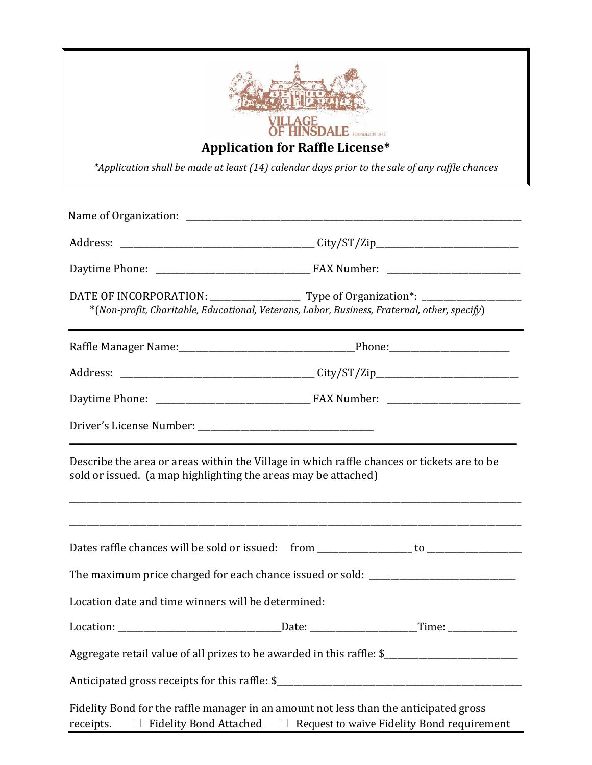| <b>VILLAGE<br/>OF HINSDALE</b> FOUNDED IN 1873<br><b>Application for Raffle License*</b><br>*Application shall be made at least (14) calendar days prior to the sale of any raffle chances |                                                                                                                                                              |  |  |
|--------------------------------------------------------------------------------------------------------------------------------------------------------------------------------------------|--------------------------------------------------------------------------------------------------------------------------------------------------------------|--|--|
|                                                                                                                                                                                            |                                                                                                                                                              |  |  |
|                                                                                                                                                                                            |                                                                                                                                                              |  |  |
|                                                                                                                                                                                            |                                                                                                                                                              |  |  |
|                                                                                                                                                                                            | *(Non-profit, Charitable, Educational, Veterans, Labor, Business, Fraternal, other, specify)                                                                 |  |  |
|                                                                                                                                                                                            |                                                                                                                                                              |  |  |
|                                                                                                                                                                                            |                                                                                                                                                              |  |  |
|                                                                                                                                                                                            |                                                                                                                                                              |  |  |
|                                                                                                                                                                                            |                                                                                                                                                              |  |  |
|                                                                                                                                                                                            | Describe the area or areas within the Village in which raffle chances or tickets are to be<br>sold or issued. (a map highlighting the areas may be attached) |  |  |
|                                                                                                                                                                                            |                                                                                                                                                              |  |  |
|                                                                                                                                                                                            | The maximum price charged for each chance issued or sold: _______________________                                                                            |  |  |
| Location date and time winners will be determined:                                                                                                                                         |                                                                                                                                                              |  |  |
|                                                                                                                                                                                            |                                                                                                                                                              |  |  |
|                                                                                                                                                                                            |                                                                                                                                                              |  |  |